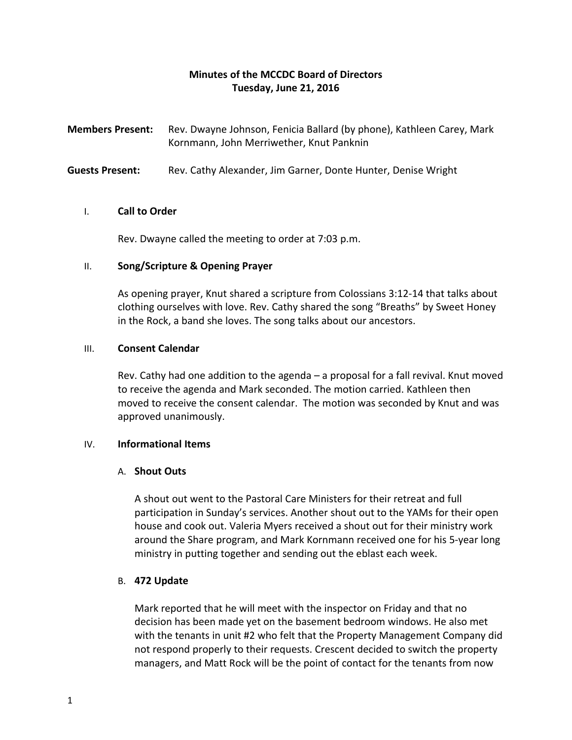# **Minutes of the MCCDC Board of Directors Tuesday, June 21, 2016**

**Members Present:** Rev. Dwayne Johnson, Fenicia Ballard (by phone), Kathleen Carey, Mark Kornmann, John Merriwether, Knut Panknin

**Guests Present:** Rev. Cathy Alexander, Jim Garner, Donte Hunter, Denise Wright

### I. **Call to Order**

Rev. Dwayne called the meeting to order at 7:03 p.m.

### II. **Song/Scripture & Opening Prayer**

As opening prayer, Knut shared a scripture from Colossians 3:12-14 that talks about clothing ourselves with love. Rev. Cathy shared the song "Breaths" by Sweet Honey in the Rock, a band she loves. The song talks about our ancestors.

### III. **Consent Calendar**

Rev. Cathy had one addition to the agenda – a proposal for a fall revival. Knut moved to receive the agenda and Mark seconded. The motion carried. Kathleen then moved to receive the consent calendar. The motion was seconded by Knut and was approved unanimously.

## IV. **Informational Items**

#### A. **Shout Outs**

A shout out went to the Pastoral Care Ministers for their retreat and full participation in Sunday's services. Another shout out to the YAMs for their open house and cook out. Valeria Myers received a shout out for their ministry work around the Share program, and Mark Kornmann received one for his 5-year long ministry in putting together and sending out the eblast each week.

## B. **472 Update**

Mark reported that he will meet with the inspector on Friday and that no decision has been made yet on the basement bedroom windows. He also met with the tenants in unit #2 who felt that the Property Management Company did not respond properly to their requests. Crescent decided to switch the property managers, and Matt Rock will be the point of contact for the tenants from now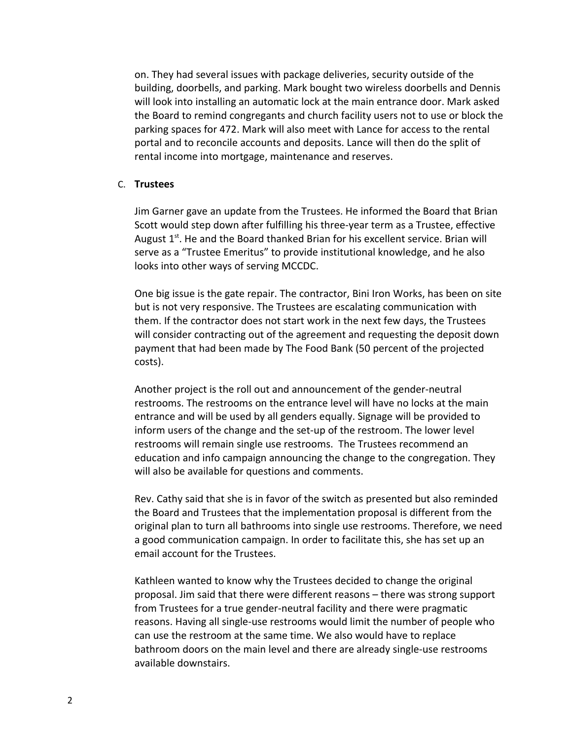on. They had several issues with package deliveries, security outside of the building, doorbells, and parking. Mark bought two wireless doorbells and Dennis will look into installing an automatic lock at the main entrance door. Mark asked the Board to remind congregants and church facility users not to use or block the parking spaces for 472. Mark will also meet with Lance for access to the rental portal and to reconcile accounts and deposits. Lance will then do the split of rental income into mortgage, maintenance and reserves.

### C. **Trustees**

Jim Garner gave an update from the Trustees. He informed the Board that Brian Scott would step down after fulfilling his three-year term as a Trustee, effective August  $1<sup>st</sup>$ . He and the Board thanked Brian for his excellent service. Brian will serve as a "Trustee Emeritus" to provide institutional knowledge, and he also looks into other ways of serving MCCDC.

One big issue is the gate repair. The contractor, Bini Iron Works, has been on site but is not very responsive. The Trustees are escalating communication with them. If the contractor does not start work in the next few days, the Trustees will consider contracting out of the agreement and requesting the deposit down payment that had been made by The Food Bank (50 percent of the projected costs).

Another project is the roll out and announcement of the gender-neutral restrooms. The restrooms on the entrance level will have no locks at the main entrance and will be used by all genders equally. Signage will be provided to inform users of the change and the set-up of the restroom. The lower level restrooms will remain single use restrooms. The Trustees recommend an education and info campaign announcing the change to the congregation. They will also be available for questions and comments.

Rev. Cathy said that she is in favor of the switch as presented but also reminded the Board and Trustees that the implementation proposal is different from the original plan to turn all bathrooms into single use restrooms. Therefore, we need a good communication campaign. In order to facilitate this, she has set up an email account for the Trustees.

Kathleen wanted to know why the Trustees decided to change the original proposal. Jim said that there were different reasons – there was strong support from Trustees for a true gender-neutral facility and there were pragmatic reasons. Having all single-use restrooms would limit the number of people who can use the restroom at the same time. We also would have to replace bathroom doors on the main level and there are already single-use restrooms available downstairs.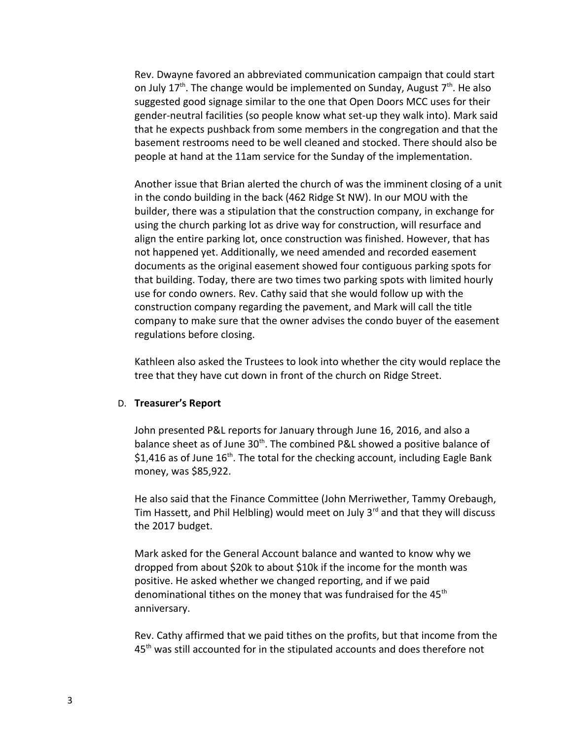Rev. Dwayne favored an abbreviated communication campaign that could start on July 17<sup>th</sup>. The change would be implemented on Sunday, August  $7<sup>th</sup>$ . He also suggested good signage similar to the one that Open Doors MCC uses for their gender-neutral facilities (so people know what set-up they walk into). Mark said that he expects pushback from some members in the congregation and that the basement restrooms need to be well cleaned and stocked. There should also be people at hand at the 11am service for the Sunday of the implementation.

Another issue that Brian alerted the church of was the imminent closing of a unit in the condo building in the back (462 Ridge St NW). In our MOU with the builder, there was a stipulation that the construction company, in exchange for using the church parking lot as drive way for construction, will resurface and align the entire parking lot, once construction was finished. However, that has not happened yet. Additionally, we need amended and recorded easement documents as the original easement showed four contiguous parking spots for that building. Today, there are two times two parking spots with limited hourly use for condo owners. Rev. Cathy said that she would follow up with the construction company regarding the pavement, and Mark will call the title company to make sure that the owner advises the condo buyer of the easement regulations before closing.

Kathleen also asked the Trustees to look into whether the city would replace the tree that they have cut down in front of the church on Ridge Street.

#### D. **Treasurer's Report**

John presented P&L reports for January through June 16, 2016, and also a balance sheet as of June 30<sup>th</sup>. The combined P&L showed a positive balance of \$1,416 as of June  $16<sup>th</sup>$ . The total for the checking account, including Eagle Bank money, was \$85,922.

He also said that the Finance Committee (John Merriwether, Tammy Orebaugh, Tim Hassett, and Phil Helbling) would meet on July  $3<sup>rd</sup>$  and that they will discuss the 2017 budget.

Mark asked for the General Account balance and wanted to know why we dropped from about \$20k to about \$10k if the income for the month was positive. He asked whether we changed reporting, and if we paid denominational tithes on the money that was fundraised for the  $45<sup>th</sup>$ anniversary.

Rev. Cathy affirmed that we paid tithes on the profits, but that income from the 45<sup>th</sup> was still accounted for in the stipulated accounts and does therefore not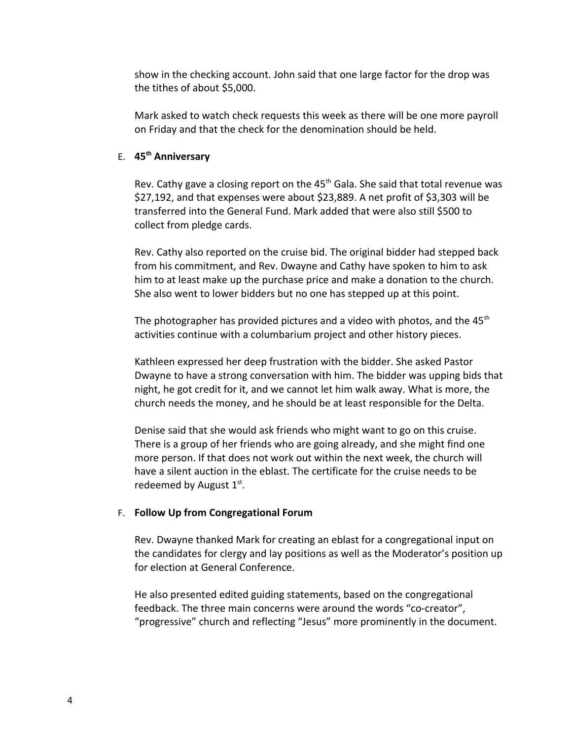show in the checking account. John said that one large factor for the drop was the tithes of about \$5,000.

Mark asked to watch check requests this week as there will be one more payroll on Friday and that the check for the denomination should be held.

## E. **45th Anniversary**

Rev. Cathy gave a closing report on the  $45<sup>th</sup>$  Gala. She said that total revenue was \$27,192, and that expenses were about \$23,889. A net profit of \$3,303 will be transferred into the General Fund. Mark added that were also still \$500 to collect from pledge cards.

Rev. Cathy also reported on the cruise bid. The original bidder had stepped back from his commitment, and Rev. Dwayne and Cathy have spoken to him to ask him to at least make up the purchase price and make a donation to the church. She also went to lower bidders but no one has stepped up at this point.

The photographer has provided pictures and a video with photos, and the  $45<sup>th</sup>$ activities continue with a columbarium project and other history pieces.

Kathleen expressed her deep frustration with the bidder. She asked Pastor Dwayne to have a strong conversation with him. The bidder was upping bids that night, he got credit for it, and we cannot let him walk away. What is more, the church needs the money, and he should be at least responsible for the Delta.

Denise said that she would ask friends who might want to go on this cruise. There is a group of her friends who are going already, and she might find one more person. If that does not work out within the next week, the church will have a silent auction in the eblast. The certificate for the cruise needs to be redeemed by August  $1<sup>st</sup>$ .

#### F. **Follow Up from Congregational Forum**

Rev. Dwayne thanked Mark for creating an eblast for a congregational input on the candidates for clergy and lay positions as well as the Moderator's position up for election at General Conference.

He also presented edited guiding statements, based on the congregational feedback. The three main concerns were around the words "co-creator", "progressive" church and reflecting "Jesus" more prominently in the document.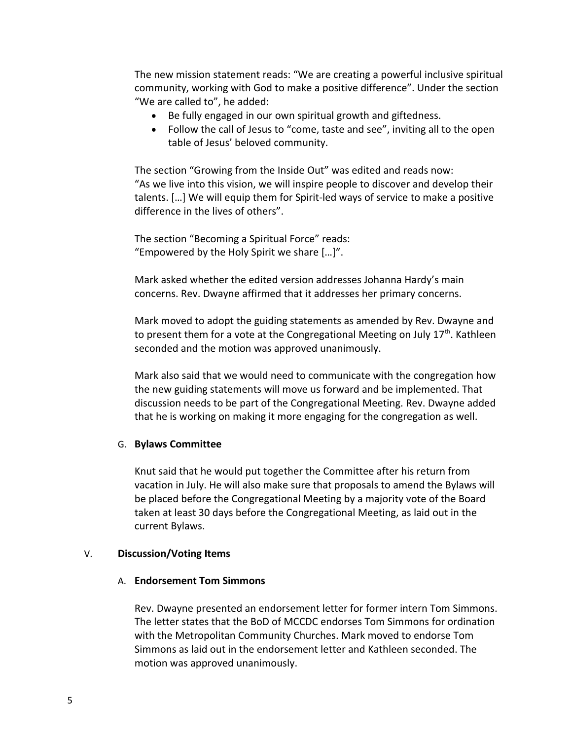The new mission statement reads: "We are creating a powerful inclusive spiritual community, working with God to make a positive difference". Under the section "We are called to", he added:

- Be fully engaged in our own spiritual growth and giftedness.
- Follow the call of Jesus to "come, taste and see", inviting all to the open table of Jesus' beloved community.

The section "Growing from the Inside Out" was edited and reads now: "As we live into this vision, we will inspire people to discover and develop their talents. […] We will equip them for Spirit-led ways of service to make a positive difference in the lives of others".

The section "Becoming a Spiritual Force" reads: "Empowered by the Holy Spirit we share […]".

Mark asked whether the edited version addresses Johanna Hardy's main concerns. Rev. Dwayne affirmed that it addresses her primary concerns.

Mark moved to adopt the guiding statements as amended by Rev. Dwayne and to present them for a vote at the Congregational Meeting on July  $17<sup>th</sup>$ . Kathleen seconded and the motion was approved unanimously.

Mark also said that we would need to communicate with the congregation how the new guiding statements will move us forward and be implemented. That discussion needs to be part of the Congregational Meeting. Rev. Dwayne added that he is working on making it more engaging for the congregation as well.

#### G. **Bylaws Committee**

Knut said that he would put together the Committee after his return from vacation in July. He will also make sure that proposals to amend the Bylaws will be placed before the Congregational Meeting by a majority vote of the Board taken at least 30 days before the Congregational Meeting, as laid out in the current Bylaws.

#### V. **Discussion/Voting Items**

#### A. **Endorsement Tom Simmons**

Rev. Dwayne presented an endorsement letter for former intern Tom Simmons. The letter states that the BoD of MCCDC endorses Tom Simmons for ordination with the Metropolitan Community Churches. Mark moved to endorse Tom Simmons as laid out in the endorsement letter and Kathleen seconded. The motion was approved unanimously.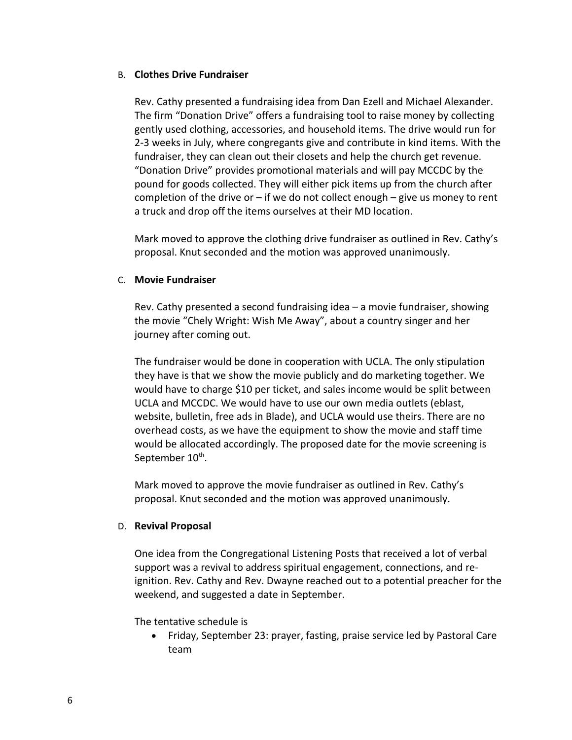### B. **Clothes Drive Fundraiser**

Rev. Cathy presented a fundraising idea from Dan Ezell and Michael Alexander. The firm "Donation Drive" offers a fundraising tool to raise money by collecting gently used clothing, accessories, and household items. The drive would run for 2-3 weeks in July, where congregants give and contribute in kind items. With the fundraiser, they can clean out their closets and help the church get revenue. "Donation Drive" provides promotional materials and will pay MCCDC by the pound for goods collected. They will either pick items up from the church after completion of the drive or  $-$  if we do not collect enough  $-$  give us money to rent a truck and drop off the items ourselves at their MD location.

Mark moved to approve the clothing drive fundraiser as outlined in Rev. Cathy's proposal. Knut seconded and the motion was approved unanimously.

## C. **Movie Fundraiser**

Rev. Cathy presented a second fundraising idea – a movie fundraiser, showing the movie "Chely Wright: Wish Me Away", about a country singer and her journey after coming out.

The fundraiser would be done in cooperation with UCLA. The only stipulation they have is that we show the movie publicly and do marketing together. We would have to charge \$10 per ticket, and sales income would be split between UCLA and MCCDC. We would have to use our own media outlets (eblast, website, bulletin, free ads in Blade), and UCLA would use theirs. There are no overhead costs, as we have the equipment to show the movie and staff time would be allocated accordingly. The proposed date for the movie screening is September 10 $^{\text{th}}$ .

Mark moved to approve the movie fundraiser as outlined in Rev. Cathy's proposal. Knut seconded and the motion was approved unanimously.

## D. **Revival Proposal**

One idea from the Congregational Listening Posts that received a lot of verbal support was a revival to address spiritual engagement, connections, and reignition. Rev. Cathy and Rev. Dwayne reached out to a potential preacher for the weekend, and suggested a date in September.

## The tentative schedule is

 Friday, September 23: prayer, fasting, praise service led by Pastoral Care team